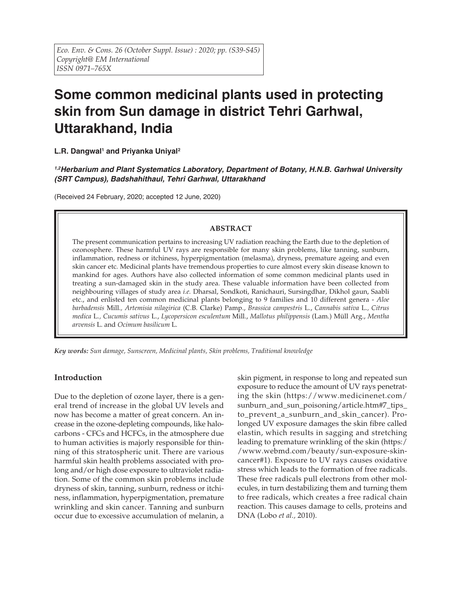# **Some common medicinal plants used in protecting skin from Sun damage in district Tehri Garhwal, Uttarakhand, India**

L.R. Dangwal<sup>1</sup> and Priyanka Uniyal<sup>2</sup>

*1,2Herbarium and Plant Systematics Laboratory, Department of Botany, H.N.B. Garhwal University (SRT Campus), Badshahithaul, Tehri Garhwal, Uttarakhand*

(Received 24 February, 2020; accepted 12 June, 2020)

# **ABSTRACT**

The present communication pertains to increasing UV radiation reaching the Earth due to the depletion of ozonosphere. These harmful UV rays are responsible for many skin problems, like tanning, sunburn, inflammation, redness or itchiness, hyperpigmentation (melasma), dryness, premature ageing and even skin cancer etc. Medicinal plants have tremendous properties to cure almost every skin disease known to mankind for ages. Authors have also collected information of some common medicinal plants used in treating a sun-damaged skin in the study area. These valuable information have been collected from neighbouring villages of study area *i.e.* Dharsal, Sondkoti, Ranichauri, Sursingdhar, Dikhol gaun, Saabli etc., and enlisted ten common medicinal plants belonging to 9 families and 10 different genera - *Aloe barbadensis* Mill.*, Artemisia nilagirica* (C.B. Clarke) Pamp., *Brassica campestris* L., *Cannabis sativa* L.*, Citrus medica* L.*, Cucumis sativus* L., *Lycopersicon esculentum* Mill., *Mallotus philippensis* (Lam.) Müll Arg., *Mentha arvensis* L. and *Ocimum basilicum* L.

*Key words: Sun damage, Sunscreen, Medicinal plants, Skin problems, Traditional knowledge*

# **Introduction**

Due to the depletion of ozone layer, there is a general trend of increase in the global UV levels and now has become a matter of great concern. An increase in the ozone-depleting compounds, like halocarbons - CFCs and HCFCs, in the atmosphere due to human activities is majorly responsible for thinning of this stratospheric unit. There are various harmful skin health problems associated with prolong and/or high dose exposure to ultraviolet radiation. Some of the common skin problems include dryness of skin, tanning, sunburn, redness or itchiness, inflammation, hyperpigmentation, premature wrinkling and skin cancer. Tanning and sunburn occur due to excessive accumulation of melanin, a

skin pigment, in response to long and repeated sun exposure to reduce the amount of UV rays penetrating the skin (https://www.medicinenet.com/ sunburn\_and\_sun\_poisoning/article.htm#7\_tips\_ to\_prevent\_a\_sunburn\_and\_skin\_cancer). Prolonged UV exposure damages the skin fibre called elastin, which results in sagging and stretching leading to premature wrinkling of the skin (https:/ /www.webmd.com/beauty/sun-exposure-skincancer#1). Exposure to UV rays causes oxidative stress which leads to the formation of free radicals. These free radicals pull electrons from other molecules, in turn destabilizing them and turning them to free radicals, which creates a free radical chain reaction. This causes damage to cells, proteins and DNA (Lobo *et al.,* 2010).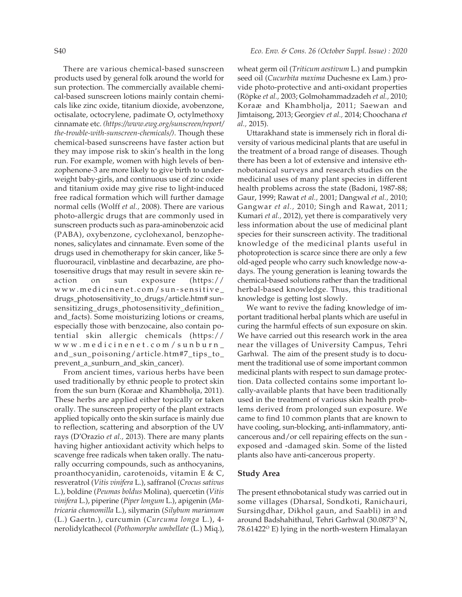There are various chemical-based sunscreen products used by general folk around the world for sun protection. The commercially available chemical-based sunscreen lotions mainly contain chemicals like zinc oxide, titanium dioxide, avobenzone, octisalate, octocrylene, padimate O, octylmethoxy cinnamate etc. *(https://www.ewg.org/sunscreen/report/ the-trouble-with-sunscreen-chemicals/)*. Though these chemical-based sunscreens have faster action but they may impose risk to skin's health in the long run. For example, women with high levels of benzophenone-3 are more likely to give birth to underweight baby-girls, and continuous use of zinc oxide and titanium oxide may give rise to light-induced free radical formation which will further damage normal cells (Wolff *et al.,* 2008). There are various photo-allergic drugs that are commonly used in sunscreen products such as para-aminobenzoic acid (PABA), oxybenzone, cyclohexanol, benzophenones, salicylates and cinnamate. Even some of the drugs used in chemotherapy for skin cancer, like 5 fluorouracil, vinblastine and decarbazine, are photosensitive drugs that may result in severe skin reaction on sun exposure (https:// www.medicinenet.com/sun-sensitive\_ drugs\_photosensitivity\_to\_drugs/article.htm# sunsensitizing\_drugs\_photosensitivity\_definition\_ and\_facts). Some moisturizing lotions or creams, especially those with benzocaine, also contain potential skin allergic chemicals (https:// www.medicinenet.com/sunburn\_ and\_sun\_poisoning/article.htm#7\_tips\_to\_ prevent\_a\_sunburn\_and\_skin\_cancer).

From ancient times, various herbs have been used traditionally by ethnic people to protect skin from the sun burn (Koraæ and Khambholja, 2011). These herbs are applied either topically or taken orally. The sunscreen property of the plant extracts applied topically onto the skin surface is mainly due to reflection, scattering and absorption of the UV rays (D'Orazio *et al.,* 2013). There are many plants having higher antioxidant activity which helps to scavenge free radicals when taken orally. The naturally occurring compounds, such as anthocyanins, proanthocyanidin, carotenoids, vitamin E & C, resveratrol (*Vitis vinifera* L.), saffranol (*Crocus sativus* L.), boldine (*Peumas boldus* Molina), quercetin (*Vitis vinifera* L.), piperine (*Piper longum* L.), apigenin (*Matricaria chamomilla* L.), silymarin (*Silybum marianum* (L.) Gaertn.), curcumin (*Curcuma longa* L.), 4 nerolidylcathecol (*Pothomorphe umbellate* (L.) Miq.), wheat germ oil (*Triticum aestivum* L.) and pumpkin seed oil (*Cucurbita maxima* Duchesne ex Lam.) provide photo-protective and anti-oxidant properties (Röpke *et al.,* 2003; Golmohammadzadeh *et al.,* 2010; Koraæ and Khambholja, 2011; Saewan and Jimtaisong, 2013; Georgiev *et al.,* 2014; Choochana *et al.,* 2015).

Uttarakhand state is immensely rich in floral diversity of various medicinal plants that are useful in the treatment of a broad range of diseases. Though there has been a lot of extensive and intensive ethnobotanical surveys and research studies on the medicinal uses of many plant species in different health problems across the state (Badoni, 1987-88; Gaur, 1999; Rawat *et al.,* 2001; Dangwal *et al.,* 2010; Gangwar *et al.,* 2010; Singh and Rawat, 2011; Kumari *et al.,* 2012), yet there is comparatively very less information about the use of medicinal plant species for their sunscreen activity. The traditional knowledge of the medicinal plants useful in photoprotection is scarce since there are only a few old-aged people who carry such knowledge now-adays. The young generation is leaning towards the chemical-based solutions rather than the traditional herbal-based knowledge. Thus, this traditional knowledge is getting lost slowly.

We want to revive the fading knowledge of important traditional herbal plants which are useful in curing the harmful effects of sun exposure on skin. We have carried out this research work in the area near the villages of University Campus, Tehri Garhwal. The aim of the present study is to document the traditional use of some important common medicinal plants with respect to sun damage protection. Data collected contains some important locally-available plants that have been traditionally used in the treatment of various skin health problems derived from prolonged sun exposure. We came to find 10 common plants that are known to have cooling, sun-blocking, anti-inflammatory, anticancerous and/or cell repairing effects on the sun exposed and -damaged skin. Some of the listed plants also have anti-cancerous property.

## **Study Area**

The present ethnobotanical study was carried out in some villages (Dharsal, Sondkoti, Ranichauri, Sursingdhar, Dikhol gaun, and Saabli) in and around Badshahithaul, Tehri Garhwal (30.0873<sup>o</sup> N,  $78.61422^{\circ}$  E) lying in the north-western Himalayan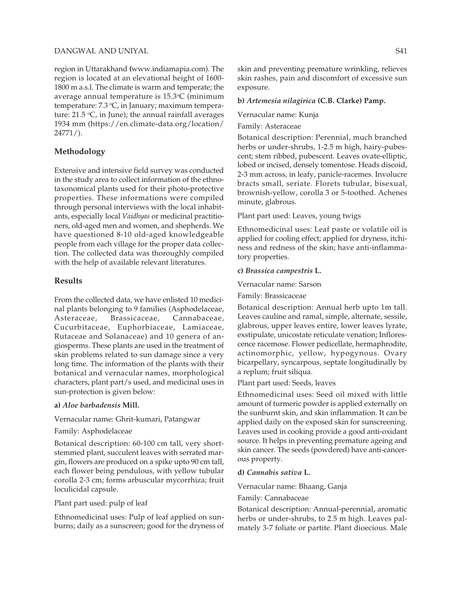## DANGWAL AND UNIYAL S41

region in Uttarakhand **(**www.indiamapia.com). The region is located at an elevational height of 1600- 1800 m a.s.l. The climate is warm and temperate; the average annual temperature is 15.3°C (minimum temperature: 7.3 °C, in January; maximum temperature: 21.5 °C, in June); the annual rainfall averages 1934 mm (https://en.climate-data.org/location/ 24771/).

# **Methodology**

Extensive and intensive field survey was conducted in the study area to collect information of the ethnotaxonomical plants used for their photo-protective properties. These informations were compiled through personal interviews with the local inhabitants, especially local *Vaidhyas* or medicinal practitioners, old-aged men and women, and shepherds. We have questioned 8-10 old-aged knowledgeable people from each village for the proper data collection. The collected data was thoroughly compiled with the help of available relevant literatures.

## **Results**

From the collected data, we have enlisted 10 medicinal plants belonging to 9 families (Asphodelaceae, Asteraceae, Brassicaceae, Cannabaceae, Cucurbitaceae, Euphorbiaceae, Lamiaceae, Rutaceae and Solanaceae) and 10 genera of angiosperms. These plants are used in the treatment of skin problems related to sun damage since a very long time. The information of the plants with their botanical and vernacular names, morphological characters, plant part/s used, and medicinal uses in sun-protection is given below:

#### **a)** *Aloe barbadensis* **Mill.**

#### Vernacular name: Ghrit-kumari, Patangwar

#### Family: Asphodelaceae

Botanical description: 60-100 cm tall, very shortstemmed plant, succulent leaves with serrated margin, flowers are produced on a spike upto 90 cm tall, each flower being pendulous, with yellow tubular corolla 2-3 cm; forms arbuscular mycorrhiza; fruit loculicidal capsule.

#### Plant part used: pulp of leaf

Ethnomedicinal uses: Pulp of leaf applied on sunburns; daily as a sunscreen; good for the dryness of skin and preventing premature wrinkling, relieves skin rashes, pain and discomfort of excessive sun exposure.

#### **b)** *Artemesia nilagirica* **(C.B. Clarke) Pamp.**

Vernacular name: Kunja

Family: Asteraceae

Botanical description: Perennial, much branched herbs or under-shrubs, 1-2.5 m high, hairy-pubescent; stem ribbed, pubescent. Leaves ovate-elliptic, lobed or incised, densely tomentose. Heads discoid, 2-3 mm across, in leafy, panicle-racemes. Involucre bracts small, seriate. Florets tubular, bisexual, brownish-yellow, corolla 3 or 5-toothed. Achenes minute, glabrous.

#### Plant part used: Leaves, young twigs

Ethnomedicinal uses: Leaf paste or volatile oil is applied for cooling effect; applied for dryness, itchiness and redness of the skin; have anti-inflammatory properties.

#### **c)** *Brassica campestris* **L.**

Vernacular name: Sarson

Family: Brassicaceae

Botanical description: Annual herb upto 1m tall. Leaves cauline and ramal, simple, alternate, sessile, glabrous, upper leaves entire, lower leaves lyrate, exstipulate, unicostate reticulate venation; Inflorescence racemose. Flower pedicellate, hermaphrodite, actinomorphic, yellow, hypogynous. Ovary bicarpellary, syncarpous, septate longitudinally by a replum; fruit siliqua.

Plant part used: Seeds, leaves

Ethnomedicinal uses: Seed oil mixed with little amount of turmeric powder is applied externally on the sunburnt skin, and skin inflammation. It can be applied daily on the exposed skin for sunscreening. Leaves used in cooking provide a good anti-oxidant source. It helps in preventing premature ageing and skin cancer. The seeds (powdered) have anti-cancerous property.

#### **d)** *Cannabis sativa* **L.**

Vernacular name: Bhaang, Ganja

Family: Cannabaceae

Botanical description: Annual-perennial, aromatic herbs or under-shrubs, to 2.5 m high. Leaves palmately 3-7 foliate or partite. Plant dioecious. Male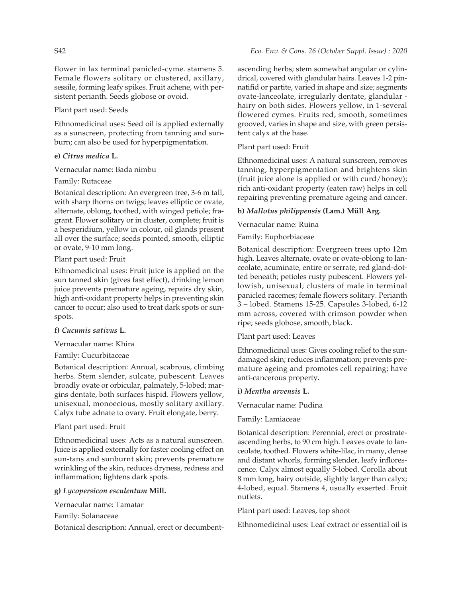flower in lax terminal panicled-cyme. stamens 5. Female flowers solitary or clustered, axillary, sessile, forming leafy spikes. Fruit achene, with persistent perianth. Seeds globose or ovoid.

# Plant part used: Seeds

Ethnomedicinal uses: Seed oil is applied externally as a sunscreen, protecting from tanning and sunburn; can also be used for hyperpigmentation.

## **e)** *Citrus medica* **L.**

## Vernacular name: Bada nimbu

## Family: Rutaceae

Botanical description: An evergreen tree, 3-6 m tall, with sharp thorns on twigs; leaves elliptic or ovate, alternate, oblong, toothed, with winged petiole; fragrant. Flower solitary or in cluster, complete; fruit is a hesperidium, yellow in colour, oil glands present all over the surface; seeds pointed, smooth, elliptic or ovate, 9-10 mm long.

## Plant part used: Fruit

Ethnomedicinal uses: Fruit juice is applied on the sun tanned skin (gives fast effect), drinking lemon juice prevents premature ageing, repairs dry skin, high anti-oxidant property helps in preventing skin cancer to occur; also used to treat dark spots or sunspots.

# **f)** *Cucumis sativus* **L.**

Vernacular name: Khira

# Family: Cucurbitaceae

Botanical description: Annual, scabrous, climbing herbs. Stem slender, sulcate, pubescent. Leaves broadly ovate or orbicular, palmately, 5-lobed; margins dentate, both surfaces hispid. Flowers yellow, unisexual, monoecious, mostly solitary axillary. Calyx tube adnate to ovary. Fruit elongate, berry.

# Plant part used: Fruit

Ethnomedicinal uses: Acts as a natural sunscreen. Juice is applied externally for faster cooling effect on sun-tans and sunburnt skin; prevents premature wrinkling of the skin, reduces dryness, redness and inflammation; lightens dark spots.

# **g)** *Lycopersicon esculentum* **Mill.**

Vernacular name: Tamatar

Family: Solanaceae

Botanical description: Annual, erect or decumbent-

ascending herbs; stem somewhat angular or cylindrical, covered with glandular hairs. Leaves 1-2 pinnatifid or partite, varied in shape and size; segments ovate-lanceolate, irregularly dentate, glandular hairy on both sides. Flowers yellow, in 1-several flowered cymes. Fruits red, smooth, sometimes grooved, varies in shape and size, with green persistent calyx at the base.

Plant part used: Fruit

Ethnomedicinal uses: A natural sunscreen, removes tanning, hyperpigmentation and brightens skin (fruit juice alone is applied or with curd/honey); rich anti-oxidant property (eaten raw) helps in cell repairing preventing premature ageing and cancer.

# **h)** *Mallotus philippensis* **(Lam.) Müll Arg.**

Vernacular name: Ruina

Family: Euphorbiaceae

Botanical description: Evergreen trees upto 12m high. Leaves alternate, ovate or ovate-oblong to lanceolate, acuminate, entire or serrate, red gland-dotted beneath; petioles rusty pubescent. Flowers yellowish, unisexual; clusters of male in terminal panicled racemes; female flowers solitary. Perianth 3 – lobed. Stamens 15-25. Capsules 3-lobed, 6-12 mm across, covered with crimson powder when ripe; seeds globose, smooth, black.

## Plant part used: Leaves

Ethnomedicinal uses: Gives cooling relief to the sundamaged skin; reduces inflammation; prevents premature ageing and promotes cell repairing; have anti-cancerous property.

## **i)** *Mentha arvensis* **L.**

Vernacular name: Pudina

## Family: Lamiaceae

Botanical description: Perennial, erect or prostrateascending herbs, to 90 cm high. Leaves ovate to lanceolate, toothed. Flowers white-lilac, in many, dense and distant whorls, forming slender, leafy inflorescence. Calyx almost equally 5-lobed. Corolla about 8 mm long, hairy outside, slightly larger than calyx; 4-lobed, equal. Stamens 4, usually exserted. Fruit nutlets.

Plant part used: Leaves, top shoot

Ethnomedicinal uses: Leaf extract or essential oil is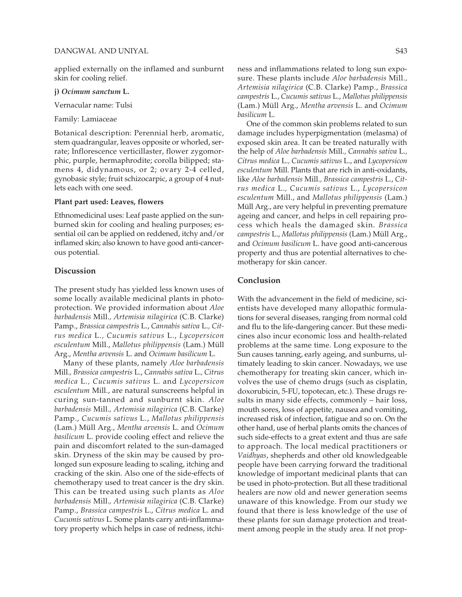#### DANGWAL AND UNIYAL S43

applied externally on the inflamed and sunburnt skin for cooling relief.

**j)** *Ocimum sanctum* **L.**

Vernacular name: Tulsi

Family: Lamiaceae

Botanical description: Perennial herb, aromatic, stem quadrangular, leaves opposite or whorled, serrate; Inflorescence verticillaster, flower zygomorphic, purple, hermaphrodite; corolla bilipped; stamens 4, didynamous, or 2; ovary 2-4 celled, gynobasic style; fruit schizocarpic, a group of 4 nutlets each with one seed.

#### **Plant part used: Leaves, flowers**

Ethnomedicinal uses: Leaf paste applied on the sunburned skin for cooling and healing purposes; essential oil can be applied on reddened, itchy and/or inflamed skin; also known to have good anti-cancerous potential.

#### **Discussion**

The present study has yielded less known uses of some locally available medicinal plants in photoprotection. We provided information about *Aloe barbadensis* Mill.*, Artemisia nilagirica* (C.B. Clarke) Pamp., *Brassica campestris* L., *Cannabis sativa* L.*, Citrus medica* L.*, Cucumis sativus* L., *Lycopersicon esculentum* Mill., *Mallotus philippensis* (Lam.) Müll Arg., *Mentha arvensis* L. and *Ocimum basilicum* L.

Many of these plants, namely *Aloe barbadensis* Mill.*, Brassica campestris* L., *Cannabis sativa* L.*, Citrus medica* L.*, Cucumis sativus* L. and *Lycopersicon esculentum* Mill., are natural sunscreens helpful in curing sun-tanned and sunburnt skin. *Aloe barbadensis* Mill.*, Artemisia nilagirica* (C.B. Clarke) Pamp., *Cucumis sativus* L., *Mallotus philippensis* (Lam.) Müll Arg., *Mentha arvensis* L. and *Ocimum basilicum* L. provide cooling effect and relieve the pain and discomfort related to the sun-damaged skin. Dryness of the skin may be caused by prolonged sun exposure leading to scaling, itching and cracking of the skin. Also one of the side-effects of chemotherapy used to treat cancer is the dry skin. This can be treated using such plants as *Aloe barbadensis* Mill.*, Artemisia nilagirica* (C.B. Clarke) Pamp., *Brassica campestris* L., *Citrus medica* L. and *Cucumis sativus* L. Some plants carry anti-inflammatory property which helps in case of redness, itchiness and inflammations related to long sun exposure. These plants include *Aloe barbadensis* Mill.*, Artemisia nilagirica* (C.B. Clarke) Pamp., *Brassica campestris* L., *Cucumis sativus* L., *Mallotus philippensis* (Lam.) Müll Arg., *Mentha arvensis* L. and *Ocimum basilicum* L.

One of the common skin problems related to sun damage includes hyperpigmentation (melasma) of exposed skin area. It can be treated naturally with the help of *Aloe barbadensis* Mill.*, Cannabis sativa* L.*, Citrus medica* L.*, Cucumis sativus* L., and *Lycopersicon esculentum* Mill. Plants that are rich in anti-oxidants, like *Aloe barbadensis* Mill.*, Brassica campestris* L., *Citrus medica* L.*, Cucumis sativus* L., *Lycopersicon esculentum* Mill., and *Mallotus philippensis* (Lam.) Müll Arg., are very helpful in preventing premature ageing and cancer, and helps in cell repairing process which heals the damaged skin. *Brassica campestris* L., *Mallotus philippensis* (Lam.) Müll Arg., and *Ocimum basilicum* L. have good anti-cancerous property and thus are potential alternatives to chemotherapy for skin cancer.

#### **Conclusion**

With the advancement in the field of medicine, scientists have developed many allopathic formulations for several diseases, ranging from normal cold and flu to the life-dangering cancer. But these medicines also incur economic loss and health-related problems at the same time. Long exposure to the Sun causes tanning, early ageing, and sunburns, ultimately leading to skin cancer. Nowadays, we use chemotherapy for treating skin cancer, which involves the use of chemo drugs (such as cisplatin, doxorubicin, 5-FU, topotecan, etc.). These drugs results in many side effects, commonly – hair loss, mouth sores, loss of appetite, nausea and vomiting, increased risk of infection, fatigue and so on. On the other hand, use of herbal plants omits the chances of such side-effects to a great extent and thus are safe to approach. The local medical practitioners or *Vaidhyas*, shepherds and other old knowledgeable people have been carrying forward the traditional knowledge of important medicinal plants that can be used in photo-protection. But all these traditional healers are now old and newer generation seems unaware of this knowledge. From our study we found that there is less knowledge of the use of these plants for sun damage protection and treatment among people in the study area. If not prop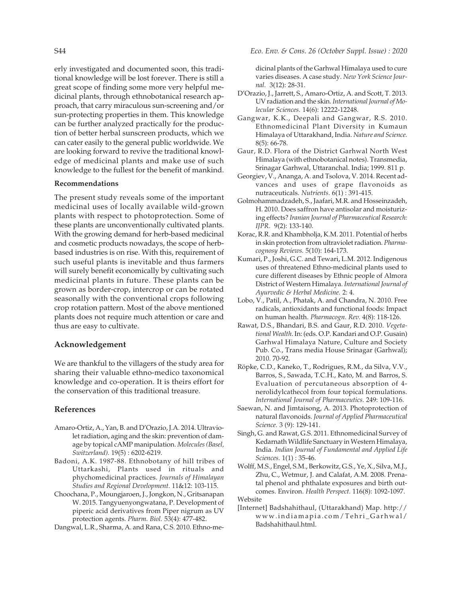erly investigated and documented soon, this traditional knowledge will be lost forever. There is still a great scope of finding some more very helpful medicinal plants, through ethnobotanical research approach, that carry miraculous sun-screening and/or sun-protecting properties in them. This knowledge can be further analyzed practically for the production of better herbal sunscreen products, which we can cater easily to the general public worldwide. We are looking forward to revive the traditional knowledge of medicinal plants and make use of such knowledge to the fullest for the benefit of mankind.

## **Recommendations**

The present study reveals some of the important medicinal uses of locally available wild-grown plants with respect to photoprotection. Some of these plants are unconventionally cultivated plants. With the growing demand for herb-based medicinal and cosmetic products nowadays, the scope of herbbased industries is on rise. With this, requirement of such useful plants is inevitable and thus farmers will surely benefit economically by cultivating such medicinal plants in future. These plants can be grown as border-crop, intercrop or can be rotated seasonally with the conventional crops following crop rotation pattern. Most of the above mentioned plants does not require much attention or care and thus are easy to cultivate.

## **Acknowledgement**

We are thankful to the villagers of the study area for sharing their valuable ethno-medico taxonomical knowledge and co-operation. It is theirs effort for the conservation of this traditional treasure.

## **References**

- Amaro-Ortiz, A., Yan, B. and D'Orazio, J.A. 2014. Ultraviolet radiation, aging and the skin: prevention of damage by topical cAMP manipulation. *Molecules (Basel, Switzerland).* 19(5) : 6202-6219.
- Badoni, A.K. 1987-88. Ethnobotany of hill tribes of Uttarkashi, Plants used in rituals and phychomedicinal practices. *Journals of Himalayan Studies and Regional Development.* 11&12: 103-115.
- Choochana, P., Moungjaroen, J., Jongkon, N., Gritsanapan W. 2015. Tangyuenyongwatana, P. Development of piperic acid derivatives from Piper nigrum as UV protection agents. *Pharm. Biol.* 53(4): 477-482.
- Dangwal, L.R., Sharma, A. and Rana, C.S. 2010. Ethno-me-

S44 *Eco. Env. & Cons. 26 (October Suppl. Issue) : 2020*

dicinal plants of the Garhwal Himalaya used to cure varies diseases. A case study. *New York Science Journal.* 3(12): 28-31.

- D'Orazio, J., Jarrett, S., Amaro-Ortiz, A. and Scott, T. 2013. UV radiation and the skin. *International Journal of Molecular Sciences.* 14(6): 12222-12248.
- Gangwar, K.K., Deepali and Gangwar, R.S. 2010. Ethnomedicinal Plant Diversity in Kumaun Himalaya of Uttarakhand, India. *Nature and Science.* 8(5): 66-78.
- Gaur, R.D. Flora of the District Garhwal North West Himalaya (with ethnobotanical notes). Transmedia, Srinagar Garhwal, Uttaranchal. India; 1999. 811 p.
- Georgiev, V., Ananga, A. and Tsolova, V. 2014. Recent advances and uses of grape flavonoids as nutraceuticals. *Nutrients.* 6(1) : 391-415.
- Golmohammadzadeh, S., Jaafari, M.R. and Hosseinzadeh, H. 2010. Does saffron have antisolar and moisturizing effects? *Iranian Journal of Pharmaceutical Research: IJPR.* 9(2): 133-140.
- Korac, R.R. and Khambholja, K.M. 2011. Potential of herbs in skin protection from ultraviolet radiation. *Pharmacognosy Reviews.* 5(10): 164-173.
- Kumari, P., Joshi, G.C. and Tewari, L.M. 2012. Indigenous uses of threatened Ethno-medicinal plants used to cure different diseases by Ethnic people of Almora District of Western Himalaya. *International Journal of Ayurvedic & Herbal Medicine.* 2: 4.
- Lobo, V., Patil, A., Phatak, A. and Chandra, N. 2010. Free radicals, antioxidants and functional foods: Impact on human health. *Pharmacogn. Rev.* 4(8): 118-126.
- Rawat, D.S., Bhandari, B.S. and Gaur, R.D. 2010. *Vegetational Wealth*. In: (eds. O.P. Kandari and O.P. Gusain) Garhwal Himalaya Nature, Culture and Society Pub. Co., Trans media House Srinagar (Garhwal); 2010. 70-92.
- Röpke, C.D., Kaneko, T., Rodrigues, R.M., da Silva, V.V., Barros, S., Sawada, T.C.H., Kato, M. and Barros, S. Evaluation of percutaneous absorption of 4 nerolidylcathecol from four topical formulations. *International Journal of Pharmaceutics.* 249: 109-116.
- Saewan, N. and Jimtaisong, A. 2013. Photoprotection of natural flavonoids. *Journal of Applied Pharmaceutical Science.* 3 (9): 129-141.
- Singh, G. and Rawat, G.S. 2011. Ethnomedicinal Survey of Kedarnath Wildlife Sanctuary in Western Himalaya, India. *Indian Journal of Fundamental and Applied Life Sciences.* 1(1) : 35-46.
- Wolff, M.S., Engel, S.M., Berkowitz, G.S., Ye, X., Silva, M.J., Zhu, C., Wetmur, J. and Calafat, A.M. 2008. Prenatal phenol and phthalate exposures and birth outcomes. Environ. *Health Perspect.* 116(8): 1092-1097. Website

[Internet] Badshahithaul, (Uttarakhand) Map. http:// www.indiamapia.com/Tehri\_Garhwal/ Badshahithaul.html.